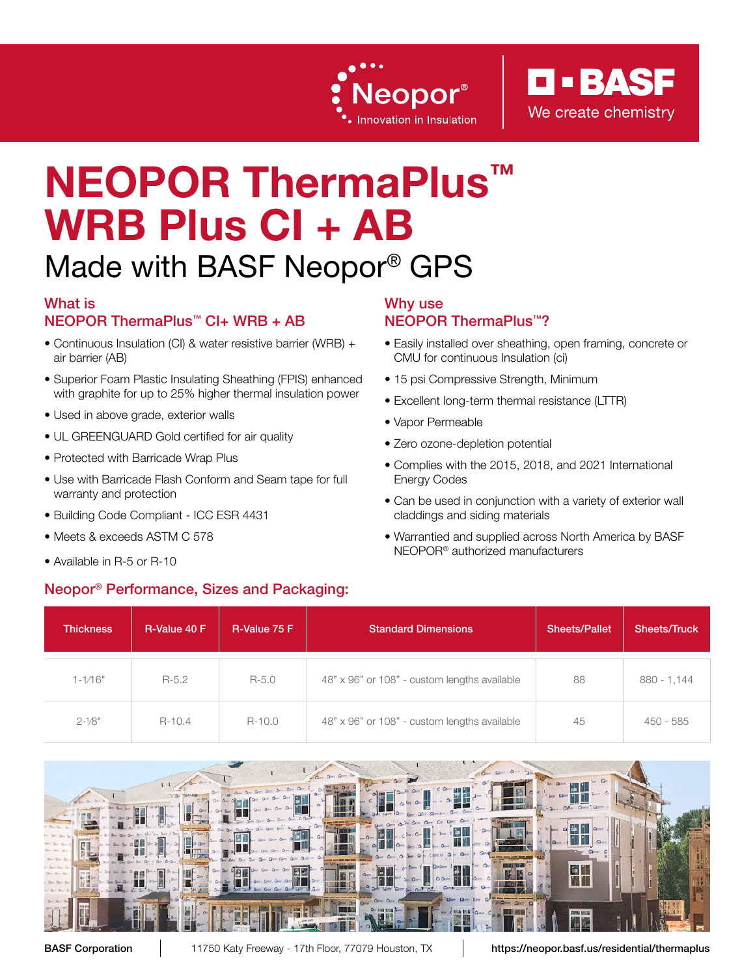



# NEOPOR ThermaPlus<sup>™</sup> WRB Plus CI + AB

# Made with BASF Neopor® GPS

### What is

### NEOPOR ThermaPlus™ CI+ WRB + AB

- Continuous Insulation (CI) & water resistive barrier (WRB) + air barrier (AB)
- Superior Foam Plastic Insulating Sheathing (FPIS) enhanced with graphite for up to 25% higher thermal insulation power
- Used in above grade, exterior walls
- UL GREENGUARD Gold certified for air quality
- Protected with Barricade Wrap Plus
- Use with Barricade Flash Conform and Seam tape for full warranty and protection
- Building Code Compliant ICC ESR 4431
- Meets & exceeds ASTM C 578
- Available in R-5 or R-10

### Neopor® Performance, Sizes and Packaging:

### Why use

### NEOPOR ThermaPlus™?

- Easily installed over sheathing, open framing, concrete or CMU for continuous Insulation (ci)
- 15 psi Compressive Strength, Minimum
- Excellent long-term thermal resistance (LTTR)
- Vapor Permeable
- Zero ozone-depletion potential
- Complies with the 2015, 2018, and 2021 International Energy Codes
- Can be used in conjunction with a variety of exterior wall claddings and siding materials
- Warrantied and supplied across North America by BASF NEOPOR® authorized manufacturers

| <b>Thickness</b> | R-Value 40 F | R-Value 75 F | <b>Standard Dimensions</b>                   | <b>Sheets/Pallet</b> | <b>Sheets/Truck</b> |
|------------------|--------------|--------------|----------------------------------------------|----------------------|---------------------|
| $1 - 1/16"$      | $R-5.2$      | $R - 5.0$    | 48" x 96" or 108" - custom lengths available | 88                   | $880 - 1,144$       |
| $2 - 1/8"$       | $R-10.4$     | R-10.0       | 48" x 96" or 108" - custom lengths available | 45                   | 450 - 585           |